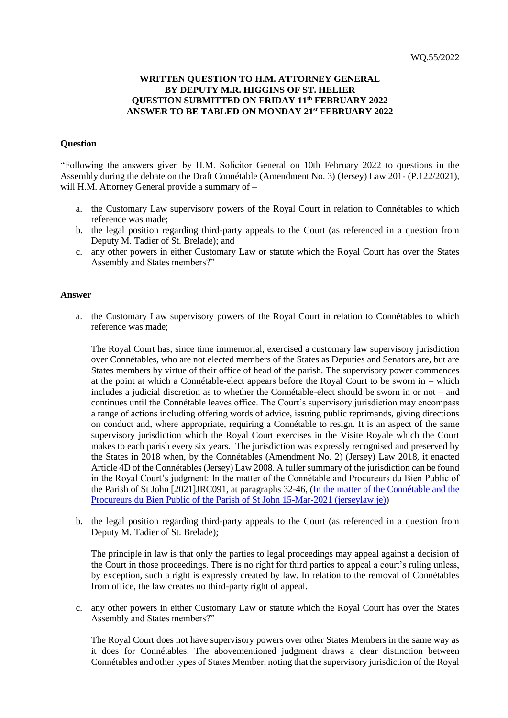## **WRITTEN QUESTION TO H.M. ATTORNEY GENERAL BY DEPUTY M.R. HIGGINS OF ST. HELIER QUESTION SUBMITTED ON FRIDAY 11th FEBRUARY 2022 ANSWER TO BE TABLED ON MONDAY 21st FEBRUARY 2022**

## **Question**

"Following the answers given by H.M. Solicitor General on 10th February 2022 to questions in the Assembly during the debate on the Draft Connétable (Amendment No. 3) (Jersey) Law 201- (P.122/2021), will H.M. Attorney General provide a summary of –

- a. the Customary Law supervisory powers of the Royal Court in relation to Connétables to which reference was made;
- b. the legal position regarding third-party appeals to the Court (as referenced in a question from Deputy M. Tadier of St. Brelade); and
- c. any other powers in either Customary Law or statute which the Royal Court has over the States Assembly and States members?"

## **Answer**

a. the Customary Law supervisory powers of the Royal Court in relation to Connétables to which reference was made;

The Royal Court has, since time immemorial, exercised a customary law supervisory jurisdiction over Connétables, who are not elected members of the States as Deputies and Senators are, but are States members by virtue of their office of head of the parish. The supervisory power commences at the point at which a Connétable-elect appears before the Royal Court to be sworn in – which includes a judicial discretion as to whether the Connétable-elect should be sworn in or not – and continues until the Connétable leaves office. The Court's supervisory jurisdiction may encompass a range of actions including offering words of advice, issuing public reprimands, giving directions on conduct and, where appropriate, requiring a Connétable to resign. It is an aspect of the same supervisory jurisdiction which the Royal Court exercises in the Visite Royale which the Court makes to each parish every six years. The jurisdiction was expressly recognised and preserved by the States in 2018 when, by the Connétables (Amendment No. 2) (Jersey) Law 2018, it enacted Article 4D of the Connétables (Jersey) Law 2008. A fuller summary of the jurisdiction can be found in the Royal Court's judgment: In the matter of the Connétable and Procureurs du Bien Public of the Parish of St John [2021]JRC091, at paragraphs 32-46, [\(In the matter of the Connétable and the](https://www.jerseylaw.je/judgments/unreported/Pages/%5b2021%5dJRC091.aspx)  [Procureurs du Bien Public of the Parish of St John 15-Mar-2021 \(jerseylaw.je\)\)](https://www.jerseylaw.je/judgments/unreported/Pages/%5b2021%5dJRC091.aspx)

b. the legal position regarding third-party appeals to the Court (as referenced in a question from Deputy M. Tadier of St. Brelade);

The principle in law is that only the parties to legal proceedings may appeal against a decision of the Court in those proceedings. There is no right for third parties to appeal a court's ruling unless, by exception, such a right is expressly created by law. In relation to the removal of Connétables from office, the law creates no third-party right of appeal.

c. any other powers in either Customary Law or statute which the Royal Court has over the States Assembly and States members?"

The Royal Court does not have supervisory powers over other States Members in the same way as it does for Connétables. The abovementioned judgment draws a clear distinction between Connétables and other types of States Member, noting that the supervisory jurisdiction of the Royal